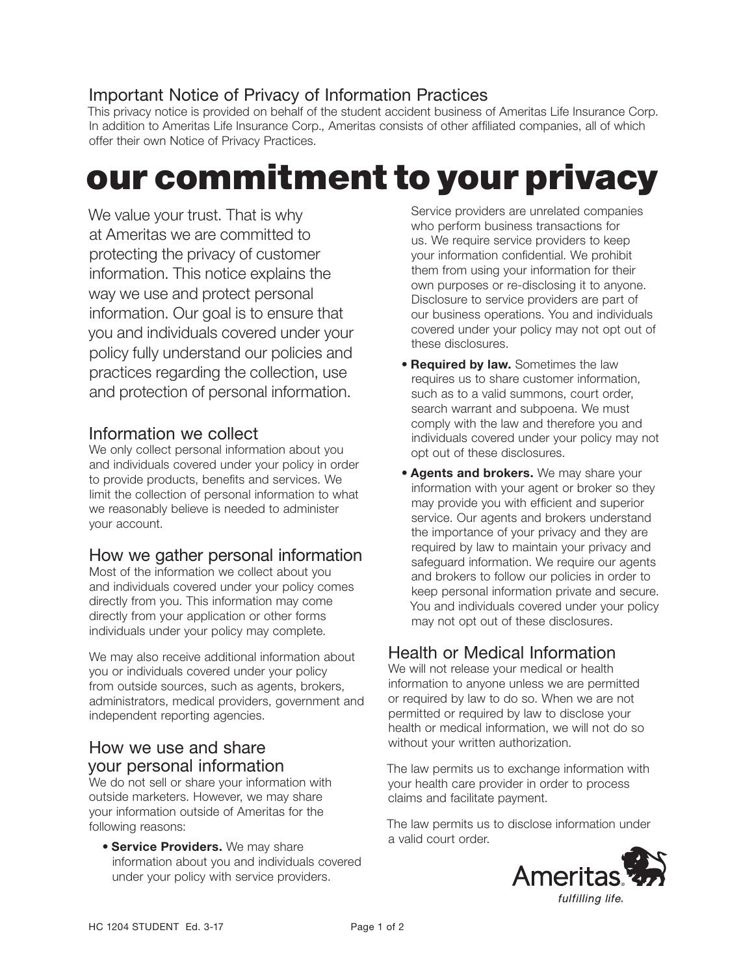## Important Notice of Privacy of Information Practices

This privacy notice is provided on behalf of the student accident business of Ameritas Life Insurance Corp. In addition to Ameritas Life Insurance Corp., Ameritas consists of other affiliated companies, all of which offer their own Notice of Privacy Practices.

# our commitment to your privacy

We value your trust. That is why at Ameritas we are committed to protecting the privacy of customer information. This notice explains the way we use and protect personal information. Our goal is to ensure that you and individuals covered under your policy fully understand our policies and practices regarding the collection, use and protection of personal information.

#### Information we collect

We only collect personal information about you and individuals covered under your policy in order to provide products, benefits and services. We limit the collection of personal information to what we reasonably believe is needed to administer your account.

#### How we gather personal information

Most of the information we collect about you and individuals covered under your policy comes directly from you. This information may come directly from your application or other forms individuals under your policy may complete.

We may also receive additional information about you or individuals covered under your policy from outside sources, such as agents, brokers, administrators, medical providers, government and independent reporting agencies.

#### How we use and share your personal information

We do not sell or share your information with outside marketers. However, we may share your information outside of Ameritas for the following reasons:

**• Service Providers.** We may share information about you and individuals covered under your policy with service providers.

Service providers are unrelated companies who perform business transactions for us. We require service providers to keep your information confidential. We prohibit them from using your information for their own purposes or re-disclosing it to anyone. Disclosure to service providers are part of our business operations. You and individuals covered under your policy may not opt out of these disclosures.

- **Required by law.** Sometimes the law requires us to share customer information, such as to a valid summons, court order, search warrant and subpoena. We must comply with the law and therefore you and individuals covered under your policy may not opt out of these disclosures.
- **Agents and brokers.** We may share your information with your agent or broker so they may provide you with efficient and superior service. Our agents and brokers understand the importance of your privacy and they are required by law to maintain your privacy and safeguard information. We require our agents and brokers to follow our policies in order to keep personal information private and secure. You and individuals covered under your policy may not opt out of these disclosures.

### Health or Medical Information

We will not release your medical or health information to anyone unless we are permitted or required by law to do so. When we are not permitted or required by law to disclose your health or medical information, we will not do so without your written authorization.

The law permits us to exchange information with your health care provider in order to process claims and facilitate payment.

The law permits us to disclose information under a valid court order.